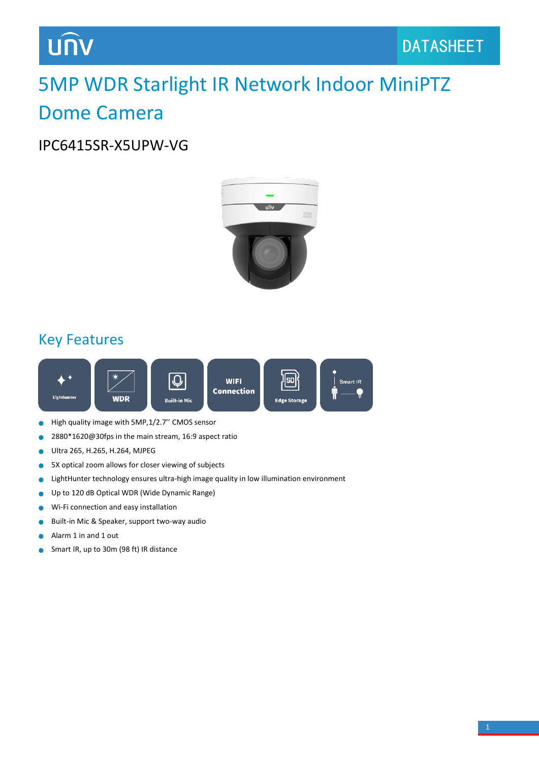# **UNV**

### 5MP WDR Starlight IR Network Indoor MiniPTZ Dome Camera

#### IPC6415SR-X5UPW-VG



#### Key Features



- High quality image with 5MP,1/2.7'' CMOS sensor  $\bullet$
- 2880\*1620@30fps in the main stream, 16:9 aspect ratio  $\bullet$
- Ultra 265, H.265, H.264, MJPEG  $\bullet$
- 5X optical zoom allows for closer viewing of subjects Ŏ
- LightHunter technology ensures ultra-high image quality in low illumination environment  $\bullet$
- Up to 120 dB Optical WDR (Wide Dynamic Range) ò
- Wi-Fi connection and easy installation  $\bullet$
- Built-in Mic & Speaker, support two-way audio  $\bullet$
- Alarm 1 in and 1 out Ċ
- Smart IR, up to 30m (98 ft) IR distance $\bullet$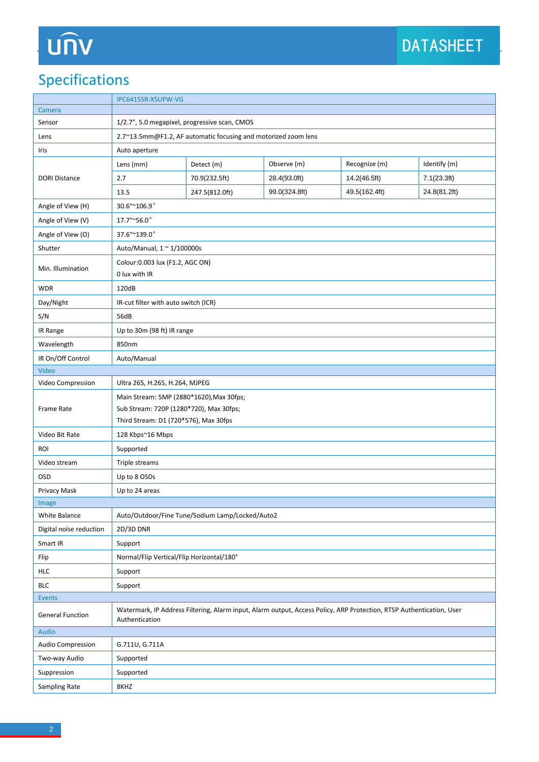# UN

### Specifications

|                         | IPC6415SR-X5UPW-VG                                                                                                                     |                                                                |               |               |              |  |  |
|-------------------------|----------------------------------------------------------------------------------------------------------------------------------------|----------------------------------------------------------------|---------------|---------------|--------------|--|--|
| Camera                  |                                                                                                                                        |                                                                |               |               |              |  |  |
| Sensor                  | 1/2.7", 5.0 megapixel, progressive scan, CMOS                                                                                          |                                                                |               |               |              |  |  |
| Lens                    |                                                                                                                                        | 2.7~13.5mm@F1.2, AF automatic focusing and motorized zoom lens |               |               |              |  |  |
| Iris                    | Auto aperture                                                                                                                          |                                                                |               |               |              |  |  |
| <b>DORI Distance</b>    | Lens (mm)                                                                                                                              | Detect (m)                                                     | Observe (m)   | Recognize (m) | Identify (m) |  |  |
|                         | 2.7                                                                                                                                    | 70.9(232.5ft)                                                  | 28.4(93.0ft)  | 14.2(46.5ft)  | 7.1(23.3ft)  |  |  |
|                         | 13.5                                                                                                                                   | 247.5(812.0ft)                                                 | 99.0(324.8ft) | 49.5(162.4ft) | 24.8(81.2ft) |  |  |
| Angle of View (H)       | 30.6°~106.9°                                                                                                                           |                                                                |               |               |              |  |  |
| Angle of View (V)       | 17.7°~56.0°                                                                                                                            |                                                                |               |               |              |  |  |
| Angle of View (O)       | 37.6°~139.0°                                                                                                                           |                                                                |               |               |              |  |  |
| Shutter                 | Auto/Manual, 1 ~ 1/100000s                                                                                                             |                                                                |               |               |              |  |  |
| Min. Illumination       | Colour: 0.003 lux (F1.2, AGC ON)<br>0 lux with IR                                                                                      |                                                                |               |               |              |  |  |
| <b>WDR</b>              | 120dB                                                                                                                                  |                                                                |               |               |              |  |  |
| Day/Night               | IR-cut filter with auto switch (ICR)                                                                                                   |                                                                |               |               |              |  |  |
| S/N                     | 56dB                                                                                                                                   |                                                                |               |               |              |  |  |
| IR Range                | Up to 30m (98 ft) IR range                                                                                                             |                                                                |               |               |              |  |  |
| Wavelength              | 850nm                                                                                                                                  |                                                                |               |               |              |  |  |
| IR On/Off Control       | Auto/Manual                                                                                                                            |                                                                |               |               |              |  |  |
| Video                   |                                                                                                                                        |                                                                |               |               |              |  |  |
| Video Compression       | Ultra 265, H.265, H.264, MJPEG                                                                                                         |                                                                |               |               |              |  |  |
|                         | Main Stream: 5MP (2880*1620), Max 30fps;                                                                                               |                                                                |               |               |              |  |  |
| Frame Rate              | Sub Stream: 720P (1280*720), Max 30fps;                                                                                                |                                                                |               |               |              |  |  |
|                         | Third Stream: D1 (720*576), Max 30fps                                                                                                  |                                                                |               |               |              |  |  |
| Video Bit Rate          | 128 Kbps~16 Mbps                                                                                                                       |                                                                |               |               |              |  |  |
| <b>ROI</b>              | Supported                                                                                                                              |                                                                |               |               |              |  |  |
| Video stream            | Triple streams                                                                                                                         |                                                                |               |               |              |  |  |
| <b>OSD</b>              | Up to 8 OSDs                                                                                                                           |                                                                |               |               |              |  |  |
| Privacy Mask            | Up to 24 areas                                                                                                                         |                                                                |               |               |              |  |  |
| Image                   |                                                                                                                                        |                                                                |               |               |              |  |  |
| <b>White Balance</b>    | Auto/Outdoor/Fine Tune/Sodium Lamp/Locked/Auto2                                                                                        |                                                                |               |               |              |  |  |
| Digital noise reduction | 2D/3D DNR                                                                                                                              |                                                                |               |               |              |  |  |
| Smart IR                | Support                                                                                                                                |                                                                |               |               |              |  |  |
| Flip                    | Normal/Flip Vertical/Flip Horizontal/180°                                                                                              |                                                                |               |               |              |  |  |
| <b>HLC</b>              | Support                                                                                                                                |                                                                |               |               |              |  |  |
| <b>BLC</b>              | Support                                                                                                                                |                                                                |               |               |              |  |  |
| Events                  |                                                                                                                                        |                                                                |               |               |              |  |  |
| <b>General Function</b> | Watermark, IP Address Filtering, Alarm input, Alarm output, Access Policy, ARP Protection, RTSP Authentication, User<br>Authentication |                                                                |               |               |              |  |  |
| Audio                   |                                                                                                                                        |                                                                |               |               |              |  |  |
| Audio Compression       | G.711U, G.711A                                                                                                                         |                                                                |               |               |              |  |  |
| Two-way Audio           | Supported                                                                                                                              |                                                                |               |               |              |  |  |
| Suppression             | Supported                                                                                                                              |                                                                |               |               |              |  |  |
| Sampling Rate           | 8KHZ                                                                                                                                   |                                                                |               |               |              |  |  |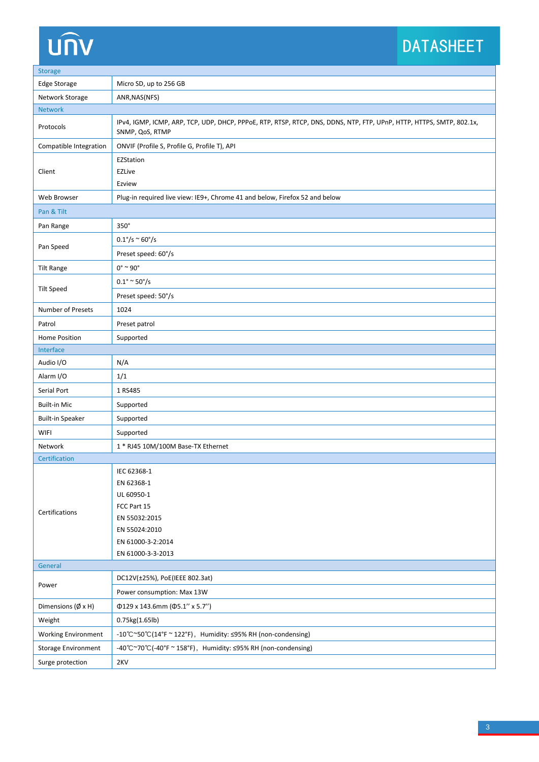# unv

### DATASHEET

| <b>Storage</b>                    |                                                                                                                                         |  |  |  |  |
|-----------------------------------|-----------------------------------------------------------------------------------------------------------------------------------------|--|--|--|--|
| <b>Edge Storage</b>               | Micro SD, up to 256 GB                                                                                                                  |  |  |  |  |
| Network Storage                   | ANR, NAS(NFS)                                                                                                                           |  |  |  |  |
| <b>Network</b>                    |                                                                                                                                         |  |  |  |  |
| Protocols                         | IPv4, IGMP, ICMP, ARP, TCP, UDP, DHCP, PPPoE, RTP, RTSP, RTCP, DNS, DDNS, NTP, FTP, UPnP, HTTP, HTTPS, SMTP, 802.1x,<br>SNMP, QoS, RTMP |  |  |  |  |
| Compatible Integration            | ONVIF (Profile S, Profile G, Profile T), API                                                                                            |  |  |  |  |
|                                   | EZStation                                                                                                                               |  |  |  |  |
| Client                            | <b>EZLive</b>                                                                                                                           |  |  |  |  |
|                                   | Ezview                                                                                                                                  |  |  |  |  |
| Web Browser                       | Plug-in required live view: IE9+, Chrome 41 and below, Firefox 52 and below                                                             |  |  |  |  |
| Pan & Tilt                        |                                                                                                                                         |  |  |  |  |
| Pan Range                         | 350°                                                                                                                                    |  |  |  |  |
| Pan Speed                         | $0.1^{\circ}/s \approx 60^{\circ}/s$                                                                                                    |  |  |  |  |
|                                   | Preset speed: 60°/s                                                                                                                     |  |  |  |  |
| <b>Tilt Range</b>                 | $0^\circ \sim 90^\circ$                                                                                                                 |  |  |  |  |
| <b>Tilt Speed</b>                 | $0.1^{\circ} \approx 50^{\circ}/s$                                                                                                      |  |  |  |  |
|                                   | Preset speed: 50°/s                                                                                                                     |  |  |  |  |
| Number of Presets                 | 1024                                                                                                                                    |  |  |  |  |
| Patrol                            | Preset patrol                                                                                                                           |  |  |  |  |
| Home Position                     | Supported                                                                                                                               |  |  |  |  |
| Interface                         |                                                                                                                                         |  |  |  |  |
| Audio I/O                         | N/A                                                                                                                                     |  |  |  |  |
| Alarm I/O                         | 1/1                                                                                                                                     |  |  |  |  |
| Serial Port                       | 1 RS485                                                                                                                                 |  |  |  |  |
| <b>Built-in Mic</b>               | Supported                                                                                                                               |  |  |  |  |
| <b>Built-in Speaker</b>           | Supported                                                                                                                               |  |  |  |  |
| <b>WIFI</b>                       | Supported                                                                                                                               |  |  |  |  |
| Network                           | 1 * RJ45 10M/100M Base-TX Ethernet                                                                                                      |  |  |  |  |
| Certification                     |                                                                                                                                         |  |  |  |  |
|                                   | IEC 62368-1                                                                                                                             |  |  |  |  |
|                                   | EN 62368-1                                                                                                                              |  |  |  |  |
|                                   | UL 60950-1                                                                                                                              |  |  |  |  |
|                                   | FCC Part 15                                                                                                                             |  |  |  |  |
| Certifications                    | EN 55032:2015                                                                                                                           |  |  |  |  |
|                                   | EN 55024:2010                                                                                                                           |  |  |  |  |
|                                   | EN 61000-3-2:2014                                                                                                                       |  |  |  |  |
|                                   | EN 61000-3-3-2013                                                                                                                       |  |  |  |  |
| General                           |                                                                                                                                         |  |  |  |  |
|                                   | DC12V(±25%), PoE(IEEE 802.3at)                                                                                                          |  |  |  |  |
| Power                             | Power consumption: Max 13W                                                                                                              |  |  |  |  |
| Dimensions $(\emptyset \times H)$ | Φ129 x 143.6mm (Φ5.1" x 5.7")                                                                                                           |  |  |  |  |
| Weight                            | 0.75kg(1.65lb)                                                                                                                          |  |  |  |  |
| <b>Working Environment</b>        | -10°C~50°C(14°F ~ 122°F), Humidity: ≤95% RH (non-condensing)                                                                            |  |  |  |  |
| <b>Storage Environment</b>        | -40°C~70°C(-40°F ~ 158°F), Humidity: ≤95% RH (non-condensing)                                                                           |  |  |  |  |
| Surge protection                  | 2KV                                                                                                                                     |  |  |  |  |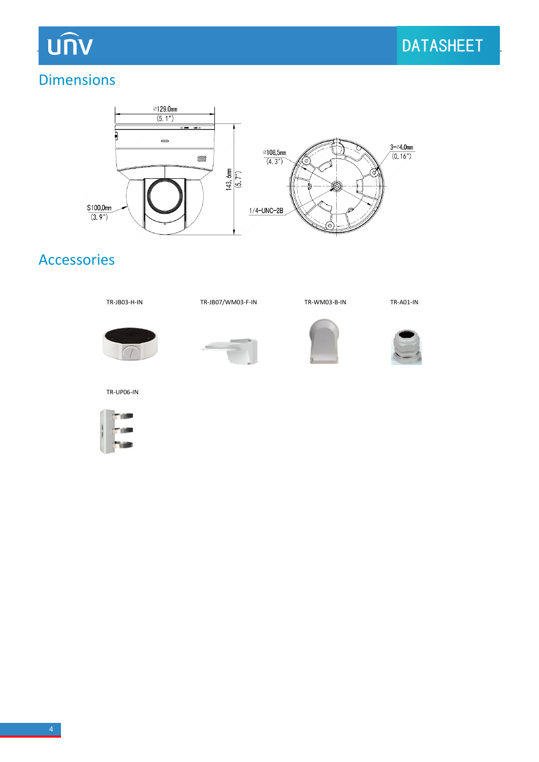## **UNV**

#### Dimensions



### Accessories













TR-UP06-IN